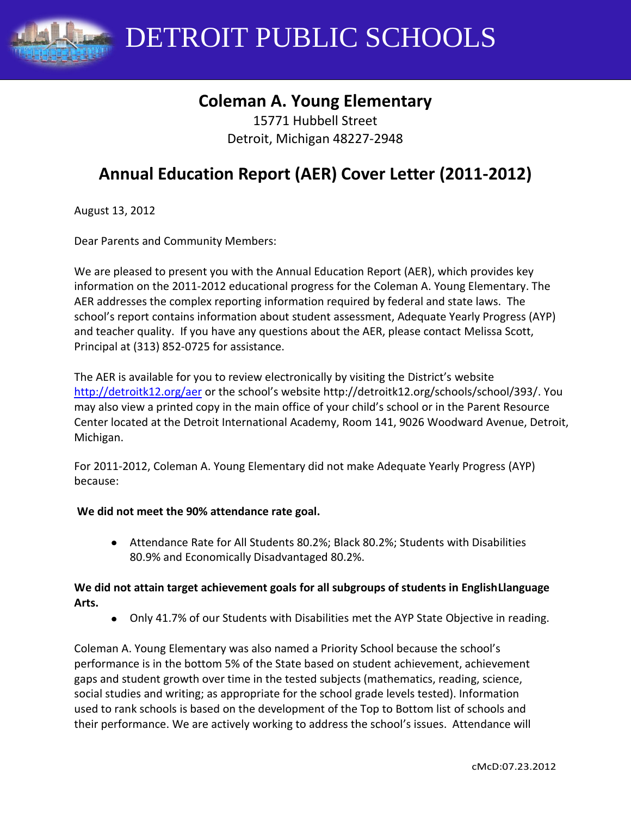DETROIT PUBLIC SCHOOLS

## **Coleman A. Young Elementary**

15771 Hubbell Street Detroit, Michigan 48227-2948

# **Annual Education Report (AER) Cover Letter (2011-2012)**

August 13, 2012

Dear Parents and Community Members:

We are pleased to present you with the Annual Education Report (AER), which provides key information on the 2011-2012 educational progress for the Coleman A. Young Elementary. The AER addresses the complex reporting information required by federal and state laws. The school's report contains information about student assessment, Adequate Yearly Progress (AYP) and teacher quality. If you have any questions about the AER, please contact Melissa Scott, Principal at (313) 852-0725 for assistance.

The AER is available for you to review electronically by visiting the District's website <http://detroitk12.org/aer> or the school's website http://detroitk12.org/schools/school/393/. You may also view a printed copy in the main office of your child's school or in the Parent Resource Center located at the Detroit International Academy, Room 141, 9026 Woodward Avenue, Detroit, Michigan.

For 2011-2012, Coleman A. Young Elementary did not make Adequate Yearly Progress (AYP) because:

#### **We did not meet the 90% attendance rate goal.**

Attendance Rate for All Students 80.2%; Black 80.2%; Students with Disabilities 80.9% and Economically Disadvantaged 80.2%.

#### **We did not attain target achievement goals for all subgroups of students in EnglishLlanguage Arts.**

Only 41.7% of our Students with Disabilities met the AYP State Objective in reading.

Coleman A. Young Elementary was also named a Priority School because the school's performance is in the bottom 5% of the State based on student achievement, achievement gaps and student growth over time in the tested subjects (mathematics, reading, science, social studies and writing; as appropriate for the school grade levels tested). Information used to rank schools is based on the development of the Top to Bottom list of schools and their performance. We are actively working to address the school's issues. Attendance will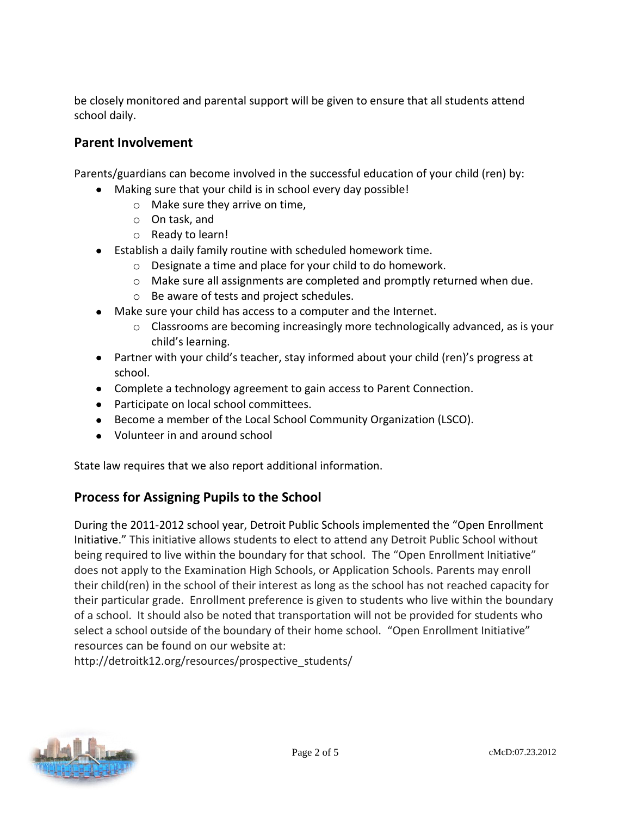be closely monitored and parental support will be given to ensure that all students attend school daily.

### **Parent Involvement**

Parents/guardians can become involved in the successful education of your child (ren) by:

- Making sure that your child is in school every day possible!  $\bullet$ 
	- o Make sure they arrive on time,
	- o On task, and
	- o Ready to learn!
- Establish a daily family routine with scheduled homework time.
	- o Designate a time and place for your child to do homework.
	- o Make sure all assignments are completed and promptly returned when due.
	- o Be aware of tests and project schedules.
- Make sure your child has access to a computer and the Internet.
	- $\circ$  Classrooms are becoming increasingly more technologically advanced, as is your child's learning.
- Partner with your child's teacher, stay informed about your child (ren)'s progress at school.
- Complete a technology agreement to gain access to Parent Connection.
- Participate on local school committees.
- Become a member of the Local School Community Organization (LSCO).
- Volunteer in and around school

State law requires that we also report additional information.

### **Process for Assigning Pupils to the School**

During the 2011-2012 school year, Detroit Public Schools implemented the "Open Enrollment Initiative." This initiative allows students to elect to attend any Detroit Public School without being required to live within the boundary for that school. The "Open Enrollment Initiative" does not apply to the Examination High Schools, or Application Schools. Parents may enroll their child(ren) in the school of their interest as long as the school has not reached capacity for their particular grade. Enrollment preference is given to students who live within the boundary of a school. It should also be noted that transportation will not be provided for students who select a school outside of the boundary of their home school. "Open Enrollment Initiative" resources can be found on our website at:

http://detroitk12.org/resources/prospective\_students/

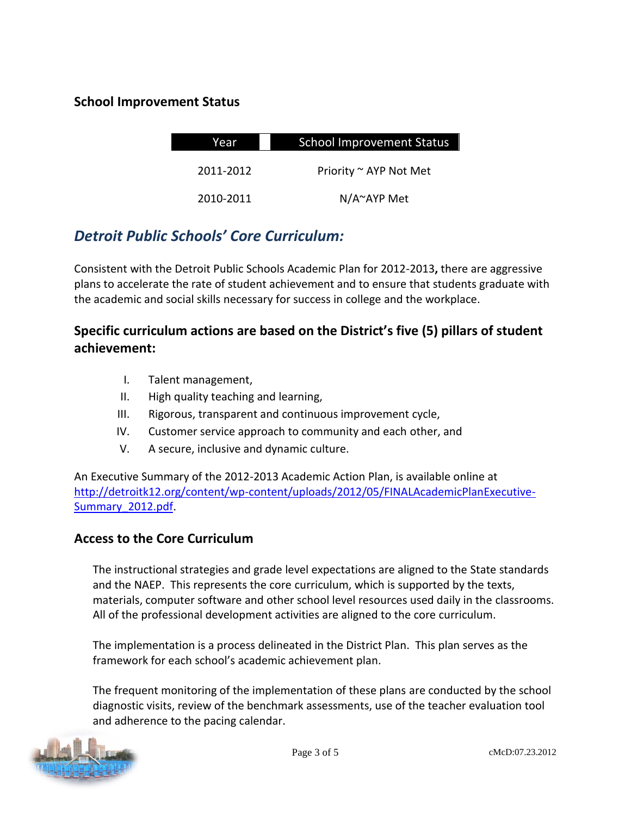### **School Improvement Status**

| Year      | <b>School Improvement Status</b> |  |
|-----------|----------------------------------|--|
| 2011-2012 | Priority ~ AYP Not Met           |  |
| 2010-2011 | $N/A^{\sim}AYP$ Met              |  |

## *Detroit Public Schools' Core Curriculum:*

Consistent with the Detroit Public Schools Academic Plan for 2012-2013**,** there are aggressive plans to accelerate the rate of student achievement and to ensure that students graduate with the academic and social skills necessary for success in college and the workplace.

### **Specific curriculum actions are based on the District's five (5) pillars of student achievement:**

- I. Talent management,
- II. High quality teaching and learning,
- III. Rigorous, transparent and continuous improvement cycle,
- IV. Customer service approach to community and each other, and
- V. A secure, inclusive and dynamic culture.

An Executive Summary of the 2012-2013 Academic Action Plan, is available online at [http://detroitk12.org/content/wp-content/uploads/2012/05/FINALAcademicPlanExecutive-](http://detroitk12.org/content/wp-content/uploads/2012/05/FINALAcademicPlanExecutive-Summary_2012.pdf)[Summary\\_2012.pdf](http://detroitk12.org/content/wp-content/uploads/2012/05/FINALAcademicPlanExecutive-Summary_2012.pdf).

### **Access to the Core Curriculum**

The instructional strategies and grade level expectations are aligned to the State standards and the NAEP. This represents the core curriculum, which is supported by the texts, materials, computer software and other school level resources used daily in the classrooms. All of the professional development activities are aligned to the core curriculum.

The implementation is a process delineated in the District Plan. This plan serves as the framework for each school's academic achievement plan.

The frequent monitoring of the implementation of these plans are conducted by the school diagnostic visits, review of the benchmark assessments, use of the teacher evaluation tool and adherence to the pacing calendar.

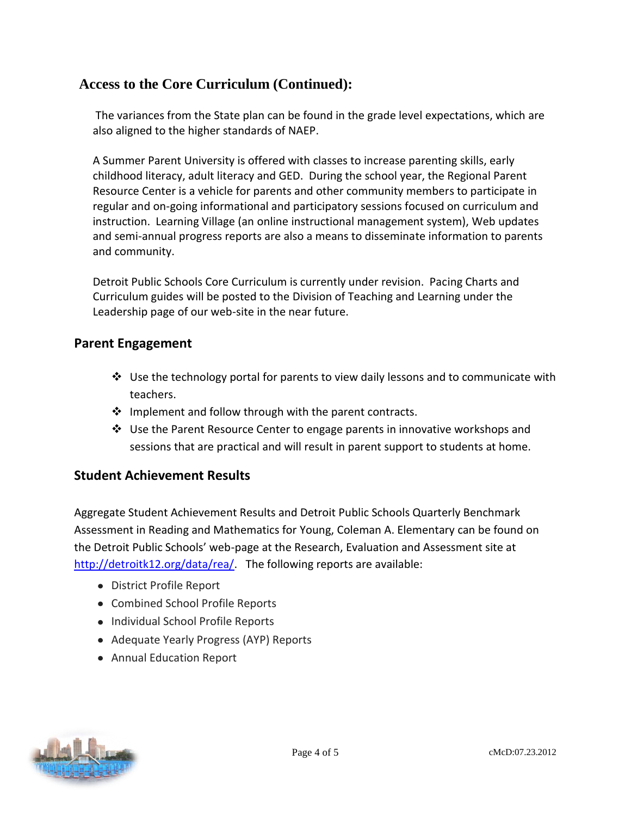### **Access to the Core Curriculum (Continued):**

The variances from the State plan can be found in the grade level expectations, which are also aligned to the higher standards of NAEP.

A Summer Parent University is offered with classes to increase parenting skills, early childhood literacy, adult literacy and GED. During the school year, the Regional Parent Resource Center is a vehicle for parents and other community members to participate in regular and on-going informational and participatory sessions focused on curriculum and instruction. Learning Village (an online instructional management system), Web updates and semi-annual progress reports are also a means to disseminate information to parents and community.

Detroit Public Schools Core Curriculum is currently under revision. Pacing Charts and Curriculum guides will be posted to the Division of Teaching and Learning under the Leadership page of our web-site in the near future.

#### **Parent Engagement**

- $\div$  Use the technology portal for parents to view daily lessons and to communicate with teachers.
- $\cdot \cdot$  Implement and follow through with the parent contracts.
- Use the Parent Resource Center to engage parents in innovative workshops and sessions that are practical and will result in parent support to students at home.

### **Student Achievement Results**

Aggregate Student Achievement Results and Detroit Public Schools Quarterly Benchmark Assessment in Reading and Mathematics for Young, Coleman A. Elementary can be found on the Detroit Public Schools' web-page at the Research, Evaluation and Assessment site at [http://detroitk12.org/data/rea/.](http://detroitk12.org/data/rea/) The following reports are available:

- District Profile Report
- Combined School Profile Reports
- Individual School Profile Reports
- Adequate Yearly Progress (AYP) Reports
- Annual Education Report